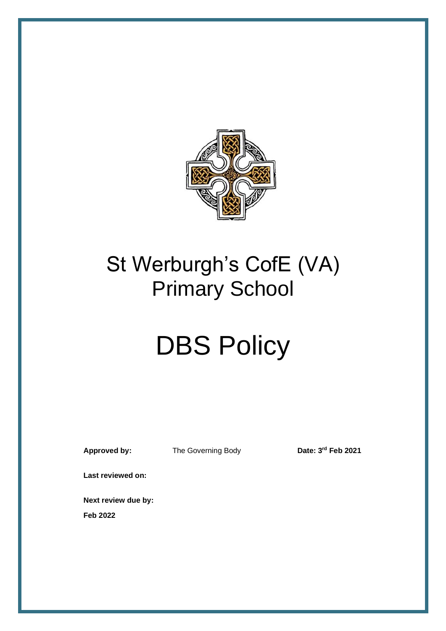

## St Werburgh's CofE (VA) Primary School

# **DBS Policy**

**Approved by:** The Governing Body

Date: 3<sup>rd</sup> Feb 2021

**Last reviewed on:**

**Next review due by:**

**Feb 2022**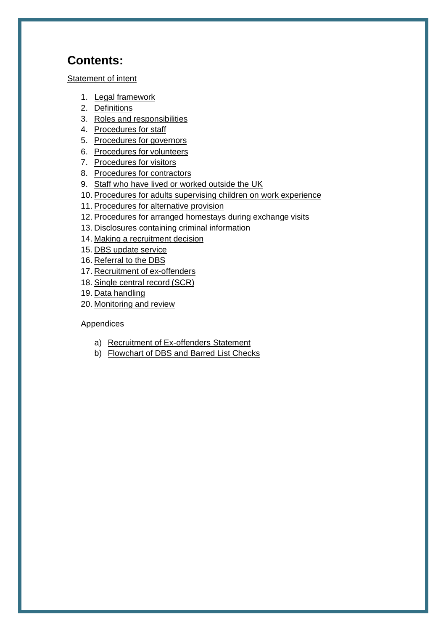## **Contents:**

#### [Statement of intent](#page-2-0)

- 1. Legal [framework](#page-3-0)
- 2. [Definitions](#page-3-1)
- 3. [Roles and responsibilities](#page-4-0)
- 4. [Procedures for](#page-5-0) staff
- 5. [Procedures for](#page-7-0) governors
- 6. [Procedures for](#page-7-1) volunteers
- 7. [Procedures for](#page-8-0) visitors
- 8. [Procedures for](#page-8-1) contractors
- 9. [Staff who have lived or worked outside the UK](#page-8-2)
- 10. [Procedures for adults supervising children on work](#page-9-0) experience
- 11. [Procedures for alternative](#page-9-1) provision
- 12. Procedures for arranged homestays during exchange visits
- 13. [Disclosures containing criminal information](#page-10-0)
- 14. [Making a recruitment decision](#page-11-0)
- 15. [DBS update](#page-12-0) service
- 16. [Referral to the](#page-12-1) DBS
- 17. [Recruitment of](#page-12-2) ex-offenders
- 18. [Single central record](#page-13-0) (SCR)
- 19. Data [handling](#page-14-0)
- 20. [Monitoring and](#page-15-0) review

#### Appendices

- a) [Recruitment of Ex-offenders](#page-16-0) Statement
- b) [Flowchart of DBS and Barred List Checks](#page-17-0)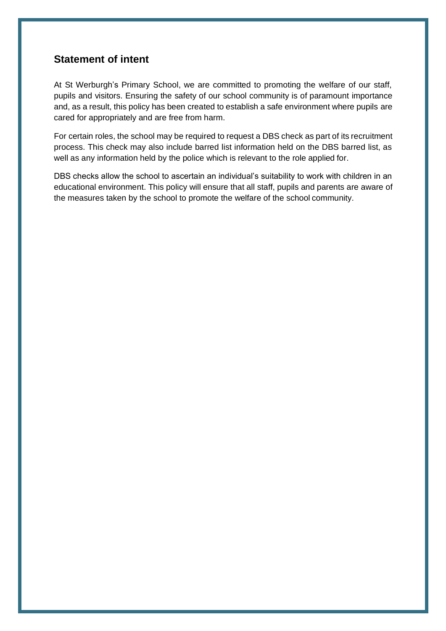### <span id="page-2-0"></span>**Statement of intent**

At St Werburgh's Primary School, we are committed to promoting the welfare of our staff, pupils and visitors. Ensuring the safety of our school community is of paramount importance and, as a result, this policy has been created to establish a safe environment where pupils are cared for appropriately and are free from harm.

For certain roles, the school may be required to request a DBS check as part of its recruitment process. This check may also include barred list information held on the DBS barred list, as well as any information held by the police which is relevant to the role applied for.

DBS checks allow the school to ascertain an individual's suitability to work with children in an educational environment. This policy will ensure that all staff, pupils and parents are aware of the measures taken by the school to promote the welfare of the school community.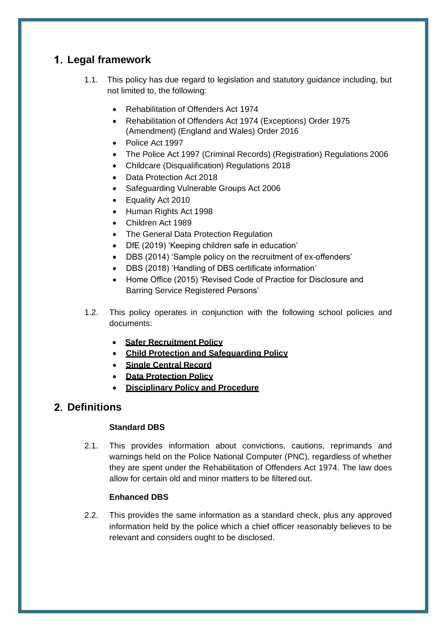## <span id="page-3-0"></span>**Legal framework**

- 1.1. This policy has due regard to legislation and statutory guidance including, but not limited to, the following:
	- Rehabilitation of Offenders Act 1974
	- Rehabilitation of Offenders Act 1974 (Exceptions) Order 1975 (Amendment) (England and Wales) Order 2016
	- Police Act 1997
	- The Police Act 1997 (Criminal Records) (Registration) Regulations 2006
	- Childcare (Disqualification) Regulations 2018
	- Data Protection Act 2018
	- Safeguarding Vulnerable Groups Act 2006
	- Equality Act 2010
	- Human Rights Act 1998
	- Children Act 1989
	- The General Data Protection Regulation
	- DfE (2019) 'Keeping children safe in education'
	- DBS (2014) 'Sample policy on the recruitment of ex-offenders'
	- DBS (2018) 'Handling of DBS certificate information'
	- Home Office (2015) 'Revised Code of Practice for Disclosure and Barring Service Registered Persons'
- 1.2. This policy operates in conjunction with the following school policies and documents:
	- **Safer Recruitment Policy**
	- **Child Protection and Safeguarding Policy**
	- **Single Central Record**
	- **Data Protection Policy**
	- **Disciplinary Policy and Procedure**

## <span id="page-3-1"></span>**Definitions**

#### **Standard DBS**

2.1. This provides information about convictions, cautions, reprimands and warnings held on the Police National Computer (PNC), regardless of whether they are spent under the Rehabilitation of Offenders Act 1974. The law does allow for certain old and minor matters to be filtered out.

#### **Enhanced DBS**

2.2. This provides the same information as a standard check, plus any approved information held by the police which a chief officer reasonably believes to be relevant and considers ought to be disclosed.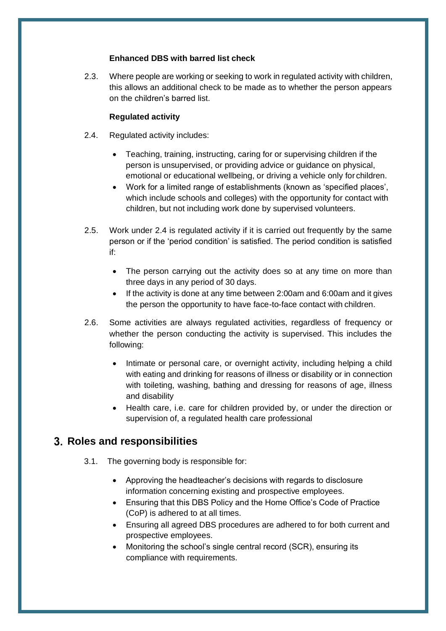#### **Enhanced DBS with barred list check**

2.3. Where people are working or seeking to work in regulated activity with children, this allows an additional check to be made as to whether the person appears on the children's barred list.

#### **Regulated activity**

- 2.4. Regulated activity includes:
	- Teaching, training, instructing, caring for or supervising children if the person is unsupervised, or providing advice or guidance on physical, emotional or educational wellbeing, or driving a vehicle only for children.
	- Work for a limited range of establishments (known as 'specified places', which include schools and colleges) with the opportunity for contact with children, but not including work done by supervised volunteers.
- 2.5. Work under 2.4 is regulated activity if it is carried out frequently by the same person or if the 'period condition' is satisfied. The period condition is satisfied if:
	- The person carrying out the activity does so at any time on more than three days in any period of 30 days.
	- If the activity is done at any time between 2:00am and 6:00am and it gives the person the opportunity to have face-to-face contact with children.
- 2.6. Some activities are always regulated activities, regardless of frequency or whether the person conducting the activity is supervised. This includes the following:
	- Intimate or personal care, or overnight activity, including helping a child with eating and drinking for reasons of illness or disability or in connection with toileting, washing, bathing and dressing for reasons of age, illness and disability
	- Health care, i.e. care for children provided by, or under the direction or supervision of, a regulated health care professional

## <span id="page-4-0"></span>**Roles and responsibilities**

- 3.1. The governing body is responsible for:
	- Approving the headteacher's decisions with regards to disclosure information concerning existing and prospective employees.
	- Ensuring that this DBS Policy and the Home Office's Code of Practice (CoP) is adhered to at all times.
	- Ensuring all agreed DBS procedures are adhered to for both current and prospective employees.
	- Monitoring the school's single central record (SCR), ensuring its compliance with requirements.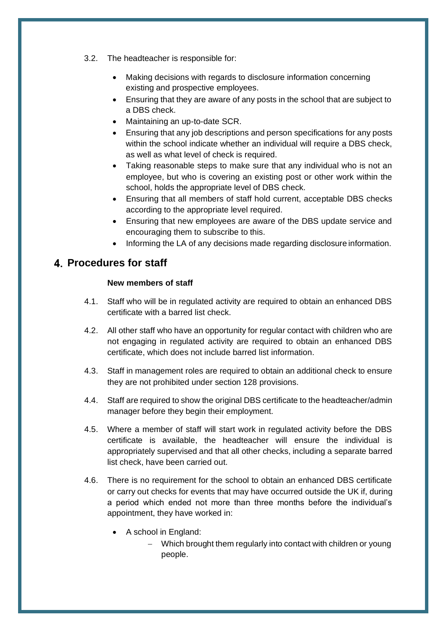- 3.2. The headteacher is responsible for:
	- Making decisions with regards to disclosure information concerning existing and prospective employees.
	- Ensuring that they are aware of any posts in the school that are subject to a DBS check.
	- Maintaining an up-to-date SCR.
	- Ensuring that any job descriptions and person specifications for any posts within the school indicate whether an individual will require a DBS check, as well as what level of check is required.
	- Taking reasonable steps to make sure that any individual who is not an employee, but who is covering an existing post or other work within the school, holds the appropriate level of DBS check.
	- Ensuring that all members of staff hold current, acceptable DBS checks according to the appropriate level required.
	- Ensuring that new employees are aware of the DBS update service and encouraging them to subscribe to this.
	- Informing the LA of any decisions made regarding disclosure information.

### <span id="page-5-0"></span>**Procedures for staff**

#### **New members of staff**

- 4.1. Staff who will be in regulated activity are required to obtain an enhanced DBS certificate with a barred list check.
- 4.2. All other staff who have an opportunity for regular contact with children who are not engaging in regulated activity are required to obtain an enhanced DBS certificate, which does not include barred list information.
- 4.3. Staff in management roles are required to obtain an additional check to ensure they are not prohibited under section 128 provisions.
- 4.4. Staff are required to show the original DBS certificate to the headteacher/admin manager before they begin their employment.
- 4.5. Where a member of staff will start work in regulated activity before the DBS certificate is available, the headteacher will ensure the individual is appropriately supervised and that all other checks, including a separate barred list check, have been carried out.
- 4.6. There is no requirement for the school to obtain an enhanced DBS certificate or carry out checks for events that may have occurred outside the UK if, during a period which ended not more than three months before the individual's appointment, they have worked in:
	- A school in England:
		- − Which brought them regularly into contact with children or young people.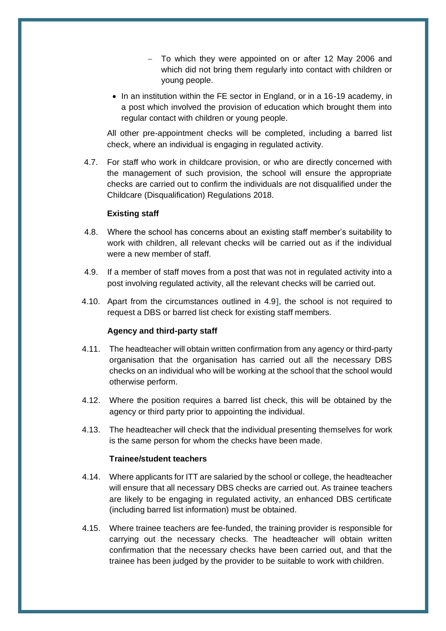- To which they were appointed on or after 12 May 2006 and which did not bring them regularly into contact with children or young people.
- In an institution within the FE sector in England, or in a 16-19 academy, in a post which involved the provision of education which brought them into regular contact with children or young people.

All other pre-appointment checks will be completed, including a barred list check, where an individual is engaging in regulated activity.

4.7. For staff who work in childcare provision, or who are directly concerned with the management of such provision, the school will ensure the appropriate checks are carried out to confirm the individuals are not disqualified under the Childcare (Disqualification) Regulations 2018.

#### **Existing staff**

- 4.8. Where the school has concerns about an existing staff member's suitability to work with children, all relevant checks will be carried out as if the individual were a new member of staff.
- 4.9. If a member of staff moves from a post that was not in regulated activity into a post involving regulated activity, all the relevant checks will be carried out.
- 4.10. Apart from the circumstances outlined in 4.9**]**, the school is not required to request a DBS or barred list check for existing staff members.

#### **Agency and third-party staff**

- 4.11. The headteacher will obtain written confirmation from any agency or third-party organisation that the organisation has carried out all the necessary DBS checks on an individual who will be working at the school that the school would otherwise perform.
- 4.12. Where the position requires a barred list check, this will be obtained by the agency or third party prior to appointing the individual.
- 4.13. The headteacher will check that the individual presenting themselves for work is the same person for whom the checks have been made.

#### **Trainee/student teachers**

- 4.14. Where applicants for ITT are salaried by the school or college, the headteacher will ensure that all necessary DBS checks are carried out. As trainee teachers are likely to be engaging in regulated activity, an enhanced DBS certificate (including barred list information) must be obtained.
- 4.15. Where trainee teachers are fee-funded, the training provider is responsible for carrying out the necessary checks. The headteacher will obtain written confirmation that the necessary checks have been carried out, and that the trainee has been judged by the provider to be suitable to work with children.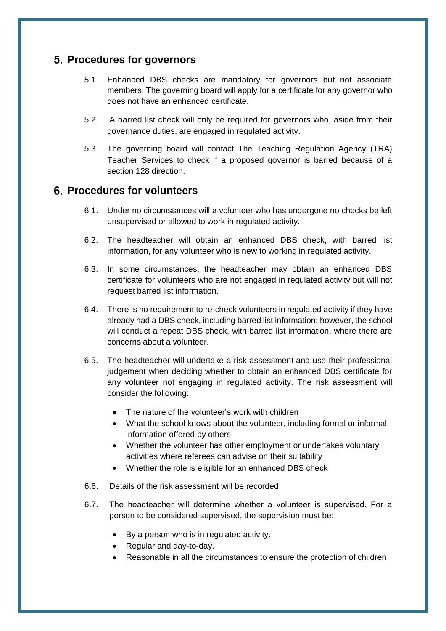## <span id="page-7-0"></span>**Procedures for governors**

- 5.1. Enhanced DBS checks are mandatory for governors but not associate members. The governing board will apply for a certificate for any governor who does not have an enhanced certificate.
- 5.2. A barred list check will only be required for governors who, aside from their governance duties, are engaged in regulated activity.
- 5.3. The governing board will contact The Teaching Regulation Agency (TRA) Teacher Services to check if a proposed governor is barred because of a section 128 direction.

#### <span id="page-7-1"></span>**Procedures for volunteers**

- 6.1. Under no circumstances will a volunteer who has undergone no checks be left unsupervised or allowed to work in regulated activity.
- 6.2. The headteacher will obtain an enhanced DBS check, with barred list information, for any volunteer who is new to working in regulated activity.
- 6.3. In some circumstances, the headteacher may obtain an enhanced DBS certificate for volunteers who are not engaged in regulated activity but will not request barred list information.
- 6.4. There is no requirement to re-check volunteers in regulated activity if they have already had a DBS check, including barred list information; however, the school will conduct a repeat DBS check, with barred list information, where there are concerns about a volunteer.
- 6.5. The headteacher will undertake a risk assessment and use their professional judgement when deciding whether to obtain an enhanced DBS certificate for any volunteer not engaging in regulated activity. The risk assessment will consider the following:
	- The nature of the volunteer's work with children
	- What the school knows about the volunteer, including formal or informal information offered by others
	- Whether the volunteer has other employment or undertakes voluntary activities where referees can advise on their suitability
	- Whether the role is eligible for an enhanced DBS check
- 6.6. Details of the risk assessment will be recorded.
- 6.7. The headteacher will determine whether a volunteer is supervised. For a person to be considered supervised, the supervision must be:
	- By a person who is in regulated activity.
	- Regular and day-to-day.
	- Reasonable in all the circumstances to ensure the protection of children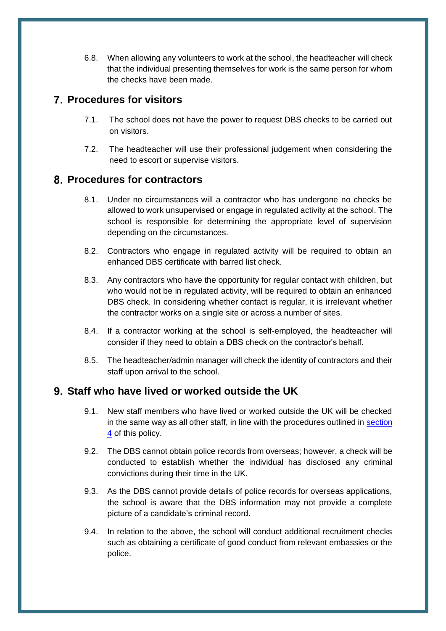6.8. When allowing any volunteers to work at the school, the headteacher will check that the individual presenting themselves for work is the same person for whom the checks have been made.

## <span id="page-8-0"></span>**Procedures for visitors**

- 7.1. The school does not have the power to request DBS checks to be carried out on visitors.
- 7.2. The headteacher will use their professional judgement when considering the need to escort or supervise visitors.

## <span id="page-8-1"></span>**Procedures for contractors**

- 8.1. Under no circumstances will a contractor who has undergone no checks be allowed to work unsupervised or engage in regulated activity at the school. The school is responsible for determining the appropriate level of supervision depending on the circumstances.
- 8.2. Contractors who engage in regulated activity will be required to obtain an enhanced DBS certificate with barred list check.
- 8.3. Any contractors who have the opportunity for regular contact with children, but who would not be in regulated activity, will be required to obtain an enhanced DBS check. In considering whether contact is regular, it is irrelevant whether the contractor works on a single site or across a number of sites.
- 8.4. If a contractor working at the school is self-employed, the headteacher will consider if they need to obtain a DBS check on the contractor's behalf.
- 8.5. The headteacher/admin manager will check the identity of contractors and their staff upon arrival to the school.

## <span id="page-8-2"></span>**Staff who have lived or worked outside the UK**

- 9.1. New staff members who have lived or worked outside the UK will be checked in the same way as all other staff, in line with the procedures outlined in [section](#page-5-0) [4](#page-5-0) of this policy.
- 9.2. The DBS cannot obtain police records from overseas; however, a check will be conducted to establish whether the individual has disclosed any criminal convictions during their time in the UK.
- 9.3. As the DBS cannot provide details of police records for overseas applications, the school is aware that the DBS information may not provide a complete picture of a candidate's criminal record.
- 9.4. In relation to the above, the school will conduct additional recruitment checks such as obtaining a certificate of good conduct from relevant embassies or the police.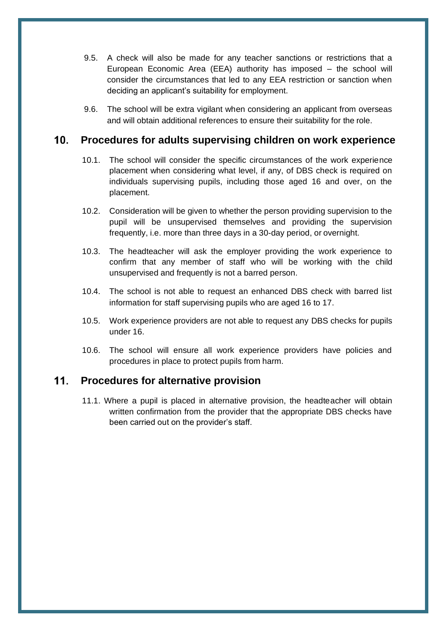- 9.5. A check will also be made for any teacher sanctions or restrictions that a European Economic Area (EEA) authority has imposed – the school will consider the circumstances that led to any EEA restriction or sanction when deciding an applicant's suitability for employment.
- <span id="page-9-0"></span>9.6. The school will be extra vigilant when considering an applicant from overseas and will obtain additional references to ensure their suitability for the role.

#### $10<sub>1</sub>$ **Procedures for adults supervising children on work experience**

- 10.1. The school will consider the specific circumstances of the work experience placement when considering what level, if any, of DBS check is required on individuals supervising pupils, including those aged 16 and over, on the placement.
- 10.2. Consideration will be given to whether the person providing supervision to the pupil will be unsupervised themselves and providing the supervision frequently, i.e. more than three days in a 30-day period, or overnight.
- 10.3. The headteacher will ask the employer providing the work experience to confirm that any member of staff who will be working with the child unsupervised and frequently is not a barred person.
- 10.4. The school is not able to request an enhanced DBS check with barred list information for staff supervising pupils who are aged 16 to 17.
- 10.5. Work experience providers are not able to request any DBS checks for pupils under 16.
- <span id="page-9-1"></span>10.6. The school will ensure all work experience providers have policies and procedures in place to protect pupils from harm.

#### $11.$ **Procedures for alternative provision**

11.1. Where a pupil is placed in alternative provision, the headteacher will obtain written confirmation from the provider that the appropriate DBS checks have been carried out on the provider's staff.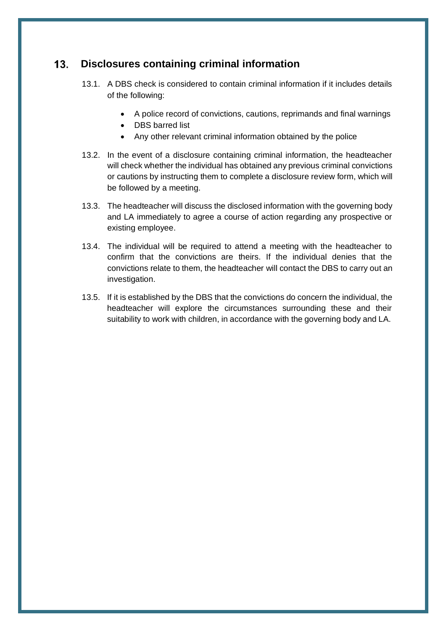#### <span id="page-10-0"></span> $13.$ **Disclosures containing criminal information**

- 13.1. A DBS check is considered to contain criminal information if it includes details of the following:
	- A police record of convictions, cautions, reprimands and final warnings
	- DBS barred list
	- Any other relevant criminal information obtained by the police
- 13.2. In the event of a disclosure containing criminal information, the headteacher will check whether the individual has obtained any previous criminal convictions or cautions by instructing them to complete a disclosure review form, which will be followed by a meeting.
- 13.3. The headteacher will discuss the disclosed information with the governing body and LA immediately to agree a course of action regarding any prospective or existing employee.
- 13.4. The individual will be required to attend a meeting with the headteacher to confirm that the convictions are theirs. If the individual denies that the convictions relate to them, the headteacher will contact the DBS to carry out an investigation.
- 13.5. If it is established by the DBS that the convictions do concern the individual, the headteacher will explore the circumstances surrounding these and their suitability to work with children, in accordance with the governing body and LA.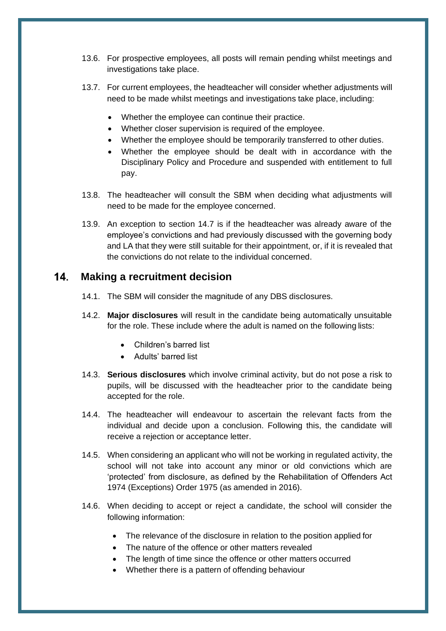- 13.6. For prospective employees, all posts will remain pending whilst meetings and investigations take place.
- 13.7. For current employees, the headteacher will consider whether adjustments will need to be made whilst meetings and investigations take place, including:
	- Whether the employee can continue their practice.
	- Whether closer supervision is required of the employee.
	- Whether the employee should be temporarily transferred to other duties.
	- Whether the employee should be dealt with in accordance with the Disciplinary Policy and Procedure and suspended with entitlement to full pay.
- 13.8. The headteacher will consult the SBM when deciding what adjustments will need to be made for the employee concerned.
- 13.9. An exception to section 14.7 is if the headteacher was already aware of the employee's convictions and had previously discussed with the governing body and LA that they were still suitable for their appointment, or, if it is revealed that the convictions do not relate to the individual concerned.

#### <span id="page-11-0"></span> $14.$ **Making a recruitment decision**

- 14.1. The SBM will consider the magnitude of any DBS disclosures.
- 14.2. **Major disclosures** will result in the candidate being automatically unsuitable for the role. These include where the adult is named on the following lists:
	- Children's barred list
	- Adults' barred list
- 14.3. **Serious disclosures** which involve criminal activity, but do not pose a risk to pupils, will be discussed with the headteacher prior to the candidate being accepted for the role.
- 14.4. The headteacher will endeavour to ascertain the relevant facts from the individual and decide upon a conclusion. Following this, the candidate will receive a rejection or acceptance letter.
- 14.5. When considering an applicant who will not be working in regulated activity, the school will not take into account any minor or old convictions which are 'protected' from disclosure, as defined by the Rehabilitation of Offenders Act 1974 (Exceptions) Order 1975 (as amended in 2016).
- 14.6. When deciding to accept or reject a candidate, the school will consider the following information:
	- The relevance of the disclosure in relation to the position applied for
	- The nature of the offence or other matters revealed
	- The length of time since the offence or other matters occurred
	- Whether there is a pattern of offending behaviour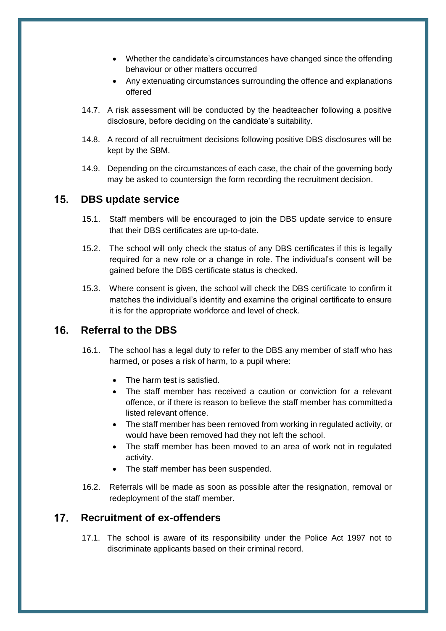- Whether the candidate's circumstances have changed since the offending behaviour or other matters occurred
- Any extenuating circumstances surrounding the offence and explanations offered
- 14.7. A risk assessment will be conducted by the headteacher following a positive disclosure, before deciding on the candidate's suitability.
- 14.8. A record of all recruitment decisions following positive DBS disclosures will be kept by the SBM.
- <span id="page-12-0"></span>14.9. Depending on the circumstances of each case, the chair of the governing body may be asked to countersign the form recording the recruitment decision.

#### 15. **DBS update service**

- 15.1. Staff members will be encouraged to join the DBS update service to ensure that their DBS certificates are up-to-date.
- 15.2. The school will only check the status of any DBS certificates if this is legally required for a new role or a change in role. The individual's consent will be gained before the DBS certificate status is checked.
- 15.3. Where consent is given, the school will check the DBS certificate to confirm it matches the individual's identity and examine the original certificate to ensure it is for the appropriate workforce and level of check.

#### <span id="page-12-1"></span>16 **Referral to the DBS**

- 16.1. The school has a legal duty to refer to the DBS any member of staff who has harmed, or poses a risk of harm, to a pupil where:
	- The harm test is satisfied.
	- The staff member has received a caution or conviction for a relevant offence, or if there is reason to believe the staff member has committeda listed relevant offence.
	- The staff member has been removed from working in regulated activity, or would have been removed had they not left the school.
	- The staff member has been moved to an area of work not in regulated activity.
	- The staff member has been suspended.
- <span id="page-12-2"></span>16.2. Referrals will be made as soon as possible after the resignation, removal or redeployment of the staff member.

#### $17<sub>1</sub>$ **Recruitment of ex-offenders**

17.1. The school is aware of its responsibility under the Police Act 1997 not to discriminate applicants based on their criminal record.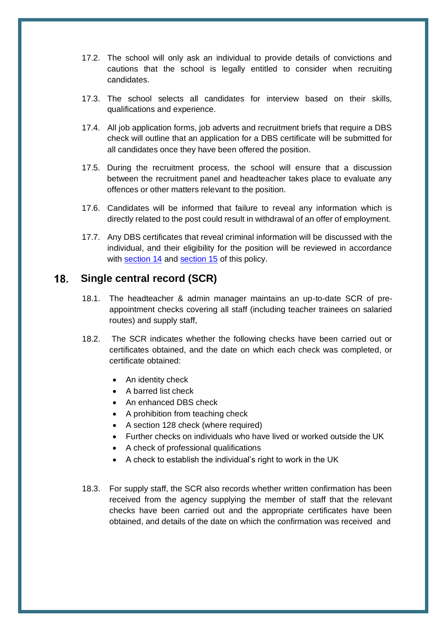- 17.2. The school will only ask an individual to provide details of convictions and cautions that the school is legally entitled to consider when recruiting candidates.
- 17.3. The school selects all candidates for interview based on their skills, qualifications and experience.
- 17.4. All job application forms, job adverts and recruitment briefs that require a DBS check will outline that an application for a DBS certificate will be submitted for all candidates once they have been offered the position.
- 17.5. During the recruitment process, the school will ensure that a discussion between the recruitment panel and headteacher takes place to evaluate any offences or other matters relevant to the position.
- 17.6. Candidates will be informed that failure to reveal any information which is directly related to the post could result in withdrawal of an offer of employment.
- 17.7. Any DBS certificates that reveal criminal information will be discussed with the individual, and their eligibility for the position will be reviewed in accordance with [section 14](#page-10-0) and [section 15](#page-11-0) of this policy.

#### <span id="page-13-0"></span>18. **Single central record (SCR)**

- 18.1. The headteacher & admin manager maintains an up-to-date SCR of preappointment checks covering all staff (including teacher trainees on salaried routes) and supply staff,
- 18.2. The SCR indicates whether the following checks have been carried out or certificates obtained, and the date on which each check was completed, or certificate obtained:
	- An identity check
	- A barred list check
	- An enhanced DBS check
	- A prohibition from teaching check
	- A section 128 check (where required)
	- Further checks on individuals who have lived or worked outside the UK
	- A check of professional qualifications
	- A check to establish the individual's right to work in the UK
- 18.3. For supply staff, the SCR also records whether written confirmation has been received from the agency supplying the member of staff that the relevant checks have been carried out and the appropriate certificates have been obtained, and details of the date on which the confirmation was received and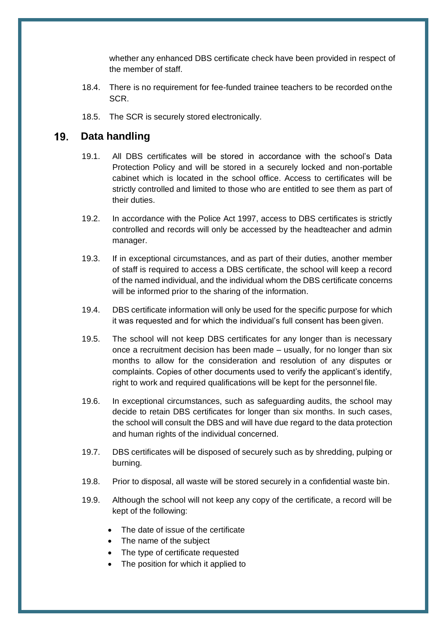whether any enhanced DBS certificate check have been provided in respect of the member of staff.

- 18.4. There is no requirement for fee-funded trainee teachers to be recorded onthe SCR.
- <span id="page-14-0"></span>18.5. The SCR is securely stored electronically.

#### $19<sub>1</sub>$ **Data handling**

- 19.1. All DBS certificates will be stored in accordance with the school's Data Protection Policy and will be stored in a securely locked and non-portable cabinet which is located in the school office. Access to certificates will be strictly controlled and limited to those who are entitled to see them as part of their duties.
- 19.2. In accordance with the Police Act 1997, access to DBS certificates is strictly controlled and records will only be accessed by the headteacher and admin manager.
- 19.3. If in exceptional circumstances, and as part of their duties, another member of staff is required to access a DBS certificate, the school will keep a record of the named individual, and the individual whom the DBS certificate concerns will be informed prior to the sharing of the information.
- 19.4. DBS certificate information will only be used for the specific purpose for which it was requested and for which the individual's full consent has been given.
- 19.5. The school will not keep DBS certificates for any longer than is necessary once a recruitment decision has been made – usually, for no longer than six months to allow for the consideration and resolution of any disputes or complaints. Copies of other documents used to verify the applicant's identify, right to work and required qualifications will be kept for the personnel file.
- 19.6. In exceptional circumstances, such as safeguarding audits, the school may decide to retain DBS certificates for longer than six months. In such cases, the school will consult the DBS and will have due regard to the data protection and human rights of the individual concerned.
- 19.7. DBS certificates will be disposed of securely such as by shredding, pulping or burning.
- 19.8. Prior to disposal, all waste will be stored securely in a confidential waste bin.
- 19.9. Although the school will not keep any copy of the certificate, a record will be kept of the following:
	- The date of issue of the certificate
	- The name of the subject
	- The type of certificate requested
	- The position for which it applied to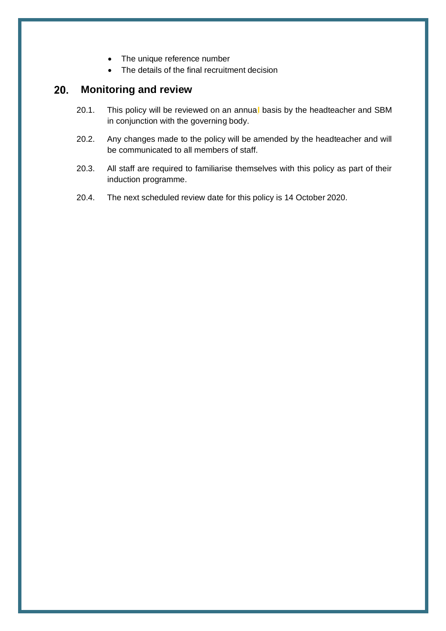- The unique reference number
- The details of the final recruitment decision

#### **Monitoring and review** 20.

- <span id="page-15-0"></span>20.1. This policy will be reviewed on an annua**l** basis by the headteacher and SBM in conjunction with the governing body.
- 20.2. Any changes made to the policy will be amended by the headteacher and will be communicated to all members of staff.
- 20.3. All staff are required to familiarise themselves with this policy as part of their induction programme.
- 20.4. The next scheduled review date for this policy is 14 October 2020.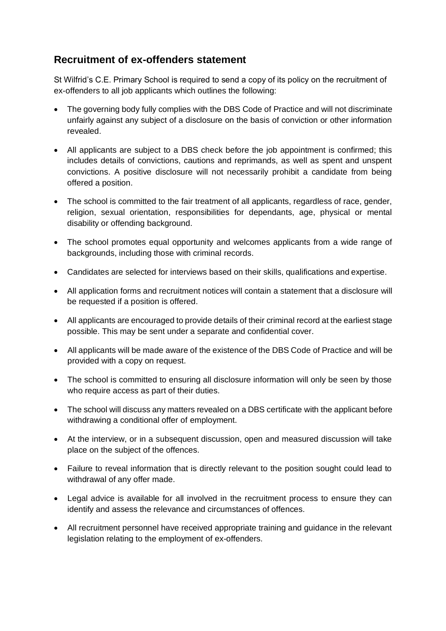## <span id="page-16-0"></span>**Recruitment of ex-offenders statement**

St Wilfrid's C.E. Primary School is required to send a copy of its policy on the recruitment of ex-offenders to all job applicants which outlines the following:

- The governing body fully complies with the DBS Code of Practice and will not discriminate unfairly against any subject of a disclosure on the basis of conviction or other information revealed.
- All applicants are subject to a DBS check before the job appointment is confirmed; this includes details of convictions, cautions and reprimands, as well as spent and unspent convictions. A positive disclosure will not necessarily prohibit a candidate from being offered a position.
- The school is committed to the fair treatment of all applicants, regardless of race, gender, religion, sexual orientation, responsibilities for dependants, age, physical or mental disability or offending background.
- The school promotes equal opportunity and welcomes applicants from a wide range of backgrounds, including those with criminal records.
- Candidates are selected for interviews based on their skills, qualifications and expertise.
- All application forms and recruitment notices will contain a statement that a disclosure will be requested if a position is offered.
- All applicants are encouraged to provide details of their criminal record at the earliest stage possible. This may be sent under a separate and confidential cover.
- All applicants will be made aware of the existence of the DBS Code of Practice and will be provided with a copy on request.
- The school is committed to ensuring all disclosure information will only be seen by those who require access as part of their duties.
- The school will discuss any matters revealed on a DBS certificate with the applicant before withdrawing a conditional offer of employment.
- At the interview, or in a subsequent discussion, open and measured discussion will take place on the subject of the offences.
- Failure to reveal information that is directly relevant to the position sought could lead to withdrawal of any offer made.
- Legal advice is available for all involved in the recruitment process to ensure they can identify and assess the relevance and circumstances of offences.
- All recruitment personnel have received appropriate training and guidance in the relevant legislation relating to the employment of ex-offenders.